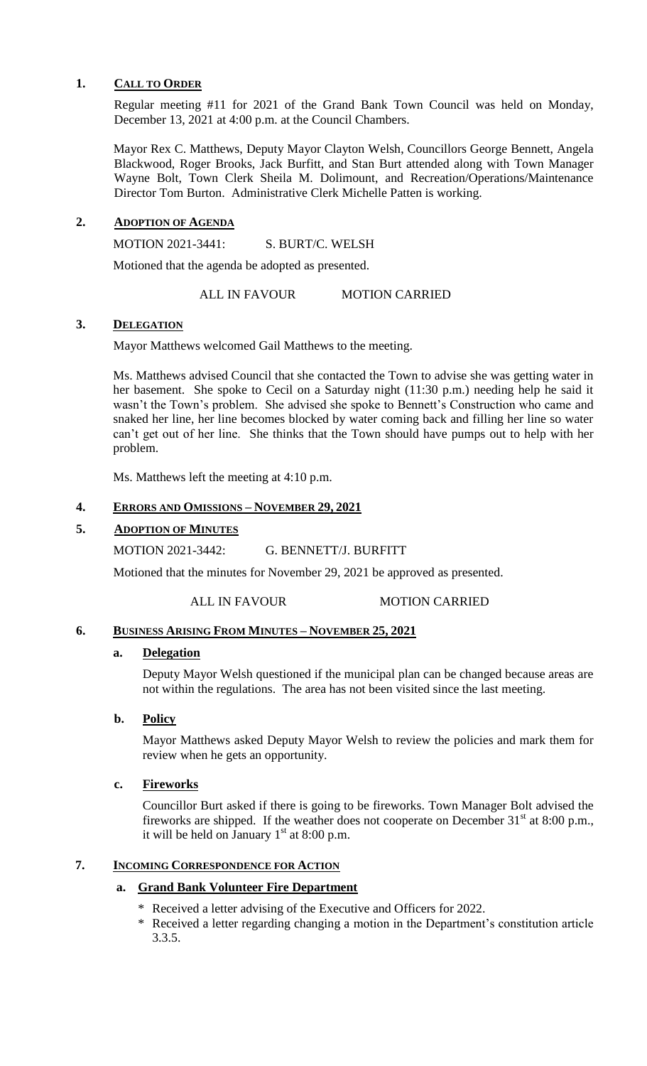### **1. CALL TO ORDER**

Regular meeting #11 for 2021 of the Grand Bank Town Council was held on Monday, December 13, 2021 at 4:00 p.m. at the Council Chambers.

Mayor Rex C. Matthews, Deputy Mayor Clayton Welsh, Councillors George Bennett, Angela Blackwood, Roger Brooks, Jack Burfitt, and Stan Burt attended along with Town Manager Wayne Bolt, Town Clerk Sheila M. Dolimount, and Recreation/Operations/Maintenance Director Tom Burton. Administrative Clerk Michelle Patten is working.

## **2. ADOPTION OF AGENDA**

MOTION 2021-3441: S. BURT/C. WELSH

Motioned that the agenda be adopted as presented.

ALL IN FAVOUR MOTION CARRIED

## **3. DELEGATION**

Mayor Matthews welcomed Gail Matthews to the meeting.

Ms. Matthews advised Council that she contacted the Town to advise she was getting water in her basement. She spoke to Cecil on a Saturday night (11:30 p.m.) needing help he said it wasn't the Town's problem. She advised she spoke to Bennett's Construction who came and snaked her line, her line becomes blocked by water coming back and filling her line so water can't get out of her line. She thinks that the Town should have pumps out to help with her problem.

Ms. Matthews left the meeting at 4:10 p.m.

## **4. ERRORS AND OMISSIONS – NOVEMBER 29, 2021**

### **5. ADOPTION OF MINUTES**

MOTION 2021-3442: G. BENNETT/J. BURFITT

Motioned that the minutes for November 29, 2021 be approved as presented.

ALL IN FAVOUR MOTION CARRIED

## **6. BUSINESS ARISING FROM MINUTES – NOVEMBER 25, 2021**

### **a. Delegation**

Deputy Mayor Welsh questioned if the municipal plan can be changed because areas are not within the regulations. The area has not been visited since the last meeting.

## **b. Policy**

Mayor Matthews asked Deputy Mayor Welsh to review the policies and mark them for review when he gets an opportunity.

### **c. Fireworks**

Councillor Burt asked if there is going to be fireworks. Town Manager Bolt advised the fireworks are shipped. If the weather does not cooperate on December  $31<sup>st</sup>$  at 8:00 p.m., it will be held on January  $1<sup>st</sup>$  at 8:00 p.m.

### **7. INCOMING CORRESPONDENCE FOR ACTION**

### **a. Grand Bank Volunteer Fire Department**

- Received a letter advising of the Executive and Officers for 2022.
- \* Received a letter regarding changing a motion in the Department's constitution article 3.3.5.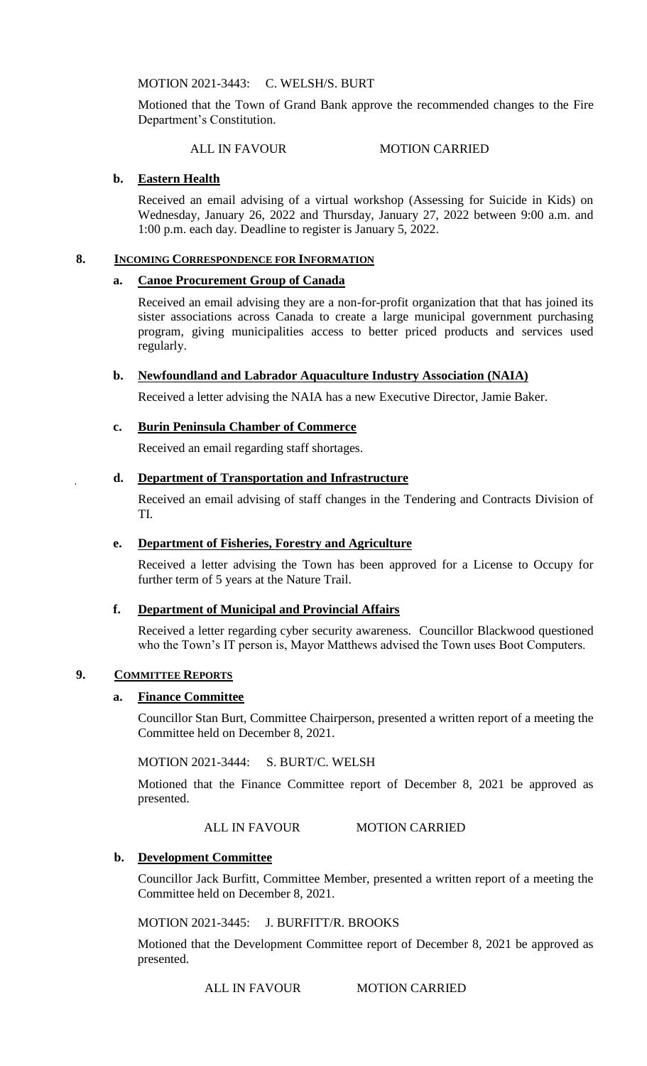MOTION 2021-3443: C. WELSH/S. BURT

Motioned that the Town of Grand Bank approve the recommended changes to the Fire Department's Constitution.

ALL IN FAVOUR MOTION CARRIED

### **b. Eastern Health**

Received an email advising of a virtual workshop (Assessing for Suicide in Kids) on Wednesday, January 26, 2022 and Thursday, January 27, 2022 between 9:00 a.m. and 1:00 p.m. each day. Deadline to register is January 5, 2022.

### **8. INCOMING CORRESPONDENCE FOR INFORMATION**

## **a. Canoe Procurement Group of Canada**

Received an email advising they are a non-for-profit organization that that has joined its sister associations across Canada to create a large municipal government purchasing program, giving municipalities access to better priced products and services used regularly.

## **b. Newfoundland and Labrador Aquaculture Industry Association (NAIA)**

Received a letter advising the NAIA has a new Executive Director, Jamie Baker.

## **c. Burin Peninsula Chamber of Commerce**

Received an email regarding staff shortages.

## **d. Department of Transportation and Infrastructure**

Received an email advising of staff changes in the Tendering and Contracts Division of TI.

### **e. Department of Fisheries, Forestry and Agriculture**

Received a letter advising the Town has been approved for a License to Occupy for further term of 5 years at the Nature Trail.

## **f. Department of Municipal and Provincial Affairs**

Received a letter regarding cyber security awareness. Councillor Blackwood questioned who the Town's IT person is, Mayor Matthews advised the Town uses Boot Computers.

### **9. COMMITTEE REPORTS**

### **a. Finance Committee**

Councillor Stan Burt, Committee Chairperson, presented a written report of a meeting the Committee held on December 8, 2021.

MOTION 2021-3444: S. BURT/C. WELSH

Motioned that the Finance Committee report of December 8, 2021 be approved as presented.

ALL IN FAVOUR MOTION CARRIED

### **b. Development Committee**

Councillor Jack Burfitt, Committee Member, presented a written report of a meeting the Committee held on December 8, 2021.

MOTION 2021-3445: J. BURFITT/R. BROOKS

Motioned that the Development Committee report of December 8, 2021 be approved as presented.

ALL IN FAVOUR MOTION CARRIED